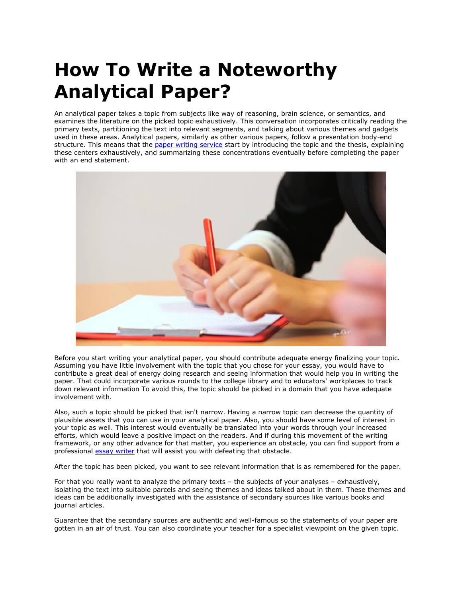## **How To Write a Noteworthy Analytical Paper?**

An analytical paper takes a topic from subjects like way of reasoning, brain science, or semantics, and examines the literature on the picked topic exhaustively. This conversation incorporates critically reading the primary texts, partitioning the text into relevant segments, and talking about various themes and gadgets used in these areas. Analytical papers, similarly as other various papers, follow a presentation body-end structure. This means that the [paper writing service](https://www.collegeessay.org/) start by introducing the topic and the thesis, explaining these centers exhaustively, and summarizing these concentrations eventually before completing the paper with an end statement.



Before you start writing your analytical paper, you should contribute adequate energy finalizing your topic. Assuming you have little involvement with the topic that you chose for your essay, you would have to contribute a great deal of energy doing research and seeing information that would help you in writing the paper. That could incorporate various rounds to the college library and to educators' workplaces to track down relevant information To avoid this, the topic should be picked in a domain that you have adequate involvement with.

Also, such a topic should be picked that isn't narrow. Having a narrow topic can decrease the quantity of plausible assets that you can use in your analytical paper. Also, you should have some level of interest in your topic as well. This interest would eventually be translated into your words through your increased efforts, which would leave a positive impact on the readers. And if during this movement of the writing framework, or any other advance for that matter, you experience an obstacle, you can find support from a professional [essay writer](https://essayhours.com/) that will assist you with defeating that obstacle.

After the topic has been picked, you want to see relevant information that is as remembered for the paper.

For that you really want to analyze the primary texts – the subjects of your analyses – exhaustively, isolating the text into suitable parcels and seeing themes and ideas talked about in them. These themes and ideas can be additionally investigated with the assistance of secondary sources like various books and journal articles.

Guarantee that the secondary sources are authentic and well-famous so the statements of your paper are gotten in an air of trust. You can also coordinate your teacher for a specialist viewpoint on the given topic.